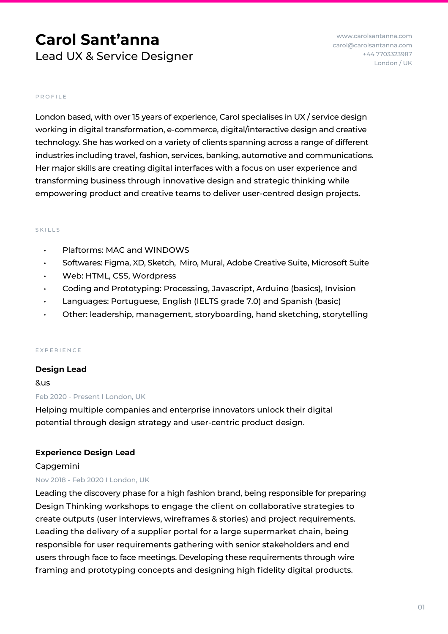# **Carol Sant'anna** Lead UX & Service Designer

www.carolsantanna.com carol@carolsantanna.com +44 7703323987 London / UK

#### PROFILE

London based, with over 15 years of experience, Carol specialises in UX / service design working in digital transformation, e-commerce, digital/interactive design and creative technology. She has worked on a variety of clients spanning across a range of different industries including travel, fashion, services, banking, automotive and communications. Her major skills are creating digital interfaces with a focus on user experience and transforming business through innovative design and strategic thinking while empowering product and creative teams to deliver user-centred design projects.

#### SKILLS

- Plaftorms: MAC and WINDOWS
- Softwares: Figma, XD, Sketch, Miro, Mural, Adobe Creative Suite, Microsoft Suite
- Web: HTML, CSS, Wordpress
- Coding and Prototyping: Processing, Javascript, Arduino (basics), Invision
- Languages: Portuguese, English (IELTS grade 7.0) and Spanish (basic)
- Other: leadership, management, storyboarding, hand sketching, storytelling

#### EXPERIENCE

### **Design Lead**

&us Feb 2020 - Present I London, UK

Helping multiple companies and enterprise innovators unlock their digital potential through design strategy and user-centric product design.

### **Experience Design Lead**

#### Capgemini

### Nov 2018 - Feb 2020 I London, UK

Leading the discovery phase for a high fashion brand, being responsible for preparing Design Thinking workshops to engage the client on collaborative strategies to create outputs (user interviews, wireframes & stories) and project requirements. Leading the delivery of a supplier portal for a large supermarket chain, being responsible for user requirements gathering with senior stakeholders and end users through face to face meetings. Developing these requirements through wire framing and prototyping concepts and designing high fidelity digital products.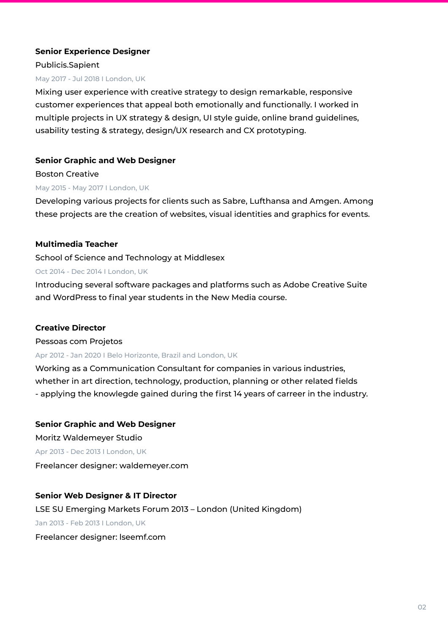# **Senior Experience Designer**

Publicis.Sapient

## May 2017 - Jul 2018 I London, UK

Mixing user experience with creative strategy to design remarkable, responsive customer experiences that appeal both emotionally and functionally. I worked in multiple projects in UX strategy & design, UI style guide, online brand guidelines, usability testing & strategy, design/UX research and CX prototyping.

# **Senior Graphic and Web Designer**

Boston Creative May 2015 - May 2017 I London, UK

Developing various projects for clients such as Sabre, Lufthansa and Amgen. Among these projects are the creation of websites, visual identities and graphics for events.

# **Multimedia Teacher**

School of Science and Technology at Middlesex

## Oct 2014 - Dec 2014 I London, UK

Introducing several software packages and platforms such as Adobe Creative Suite and WordPress to final year students in the New Media course.

# **Creative Director**

### Pessoas com Projetos

# Apr 2012 - Jan 2020 I Belo Horizonte, Brazil and London, UK

Working as a Communication Consultant for companies in various industries, whether in art direction, technology, production, planning or other related fields - applying the knowlegde gained during the first 14 years of carreer in the industry.

# **Senior Graphic and Web Designer**

Moritz Waldemeyer Studio Apr 2013 - Dec 2013 I London, UK Freelancer designer: waldemeyer.com

# **Senior Web Designer & IT Director**

LSE SU Emerging Markets Forum 2013 – London (United Kingdom) Jan 2013 - Feb 2013 I London, UK Freelancer designer: lseemf.com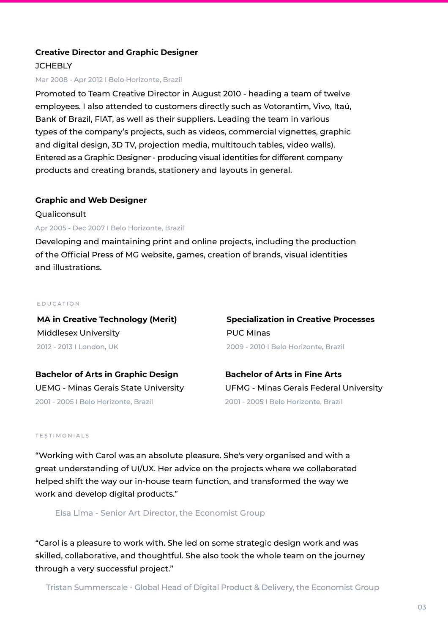## **Creative Director and Graphic Designer**

## **JCHEBLY**

#### Mar 2008 - Apr 2012 I Belo Horizonte, Brazil

Promoted to Team Creative Director in August 2010 - heading a team of twelve employees. I also attended to customers directly such as Votorantim, Vivo, Itaú, Bank of Brazil, FIAT, as well as their suppliers. Leading the team in various types of the company's projects, such as videos, commercial vignettes, graphic and digital design, 3D TV, projection media, multitouch tables, video walls). Entered as a Graphic Designer - producing visual identities for different company products and creating brands, stationery and layouts in general.

#### **Graphic and Web Designer**

**Oualiconsult** 

## Apr 2005 - Dec 2007 I Belo Horizonte, Brazil

Developing and maintaining print and online projects, including the production of the Official Press of MG website, games, creation of brands, visual identities and illustrations.

#### EDUCATION

**MA in Creative Technology (Merit)** Middlesex University 2012 - 2013 I London, UK

**Specialization in Creative Processes** PUC Minas 2009 - 2010 I Belo Horizonte, Brazil

**Bachelor of Arts in Graphic Design** 2001 - 2005 I Belo Horizonte, Brazil

UEMG - Minas Gerais State University UFMG - Minas Gerais Federal University **Bachelor of Arts in Fine Arts** 2001 - 2005 I Belo Horizonte, Brazil

#### TESTIMONIALS

"Working with Carol was an absolute pleasure. She's very organised and with a great understanding of UI/UX. Her advice on the projects where we collaborated helped shift the way our in-house team function, and transformed the way we work and develop digital products."

Elsa Lima - Senior Art Director, the Economist Group

"Carol is a pleasure to work with. She led on some strategic design work and was skilled, collaborative, and thoughtful. She also took the whole team on the journey through a very successful project."

Tristan Summerscale - Global Head of Digital Product & Delivery, the Economist Group